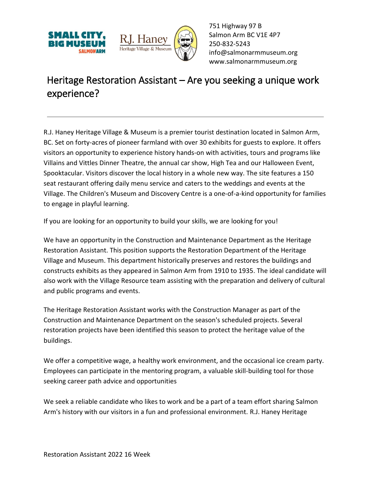



751 Highway 97 B Salmon Arm BC V1E 4P7 250-832-5243 [info@salmonarmmuseum.org](mailto:info@salmonarmmuseum.org) www.salmonarmmuseum.org

## Heritage Restoration Assistant – Are you seeking a unique work experience?

R.J. Haney Heritage Village & Museum is a premier tourist destination located in Salmon Arm, BC. Set on forty-acres of pioneer farmland with over 30 exhibits for guests to explore. It offers visitors an opportunity to experience history hands-on with activities, tours and programs like Villains and Vittles Dinner Theatre, the annual car show, High Tea and our Halloween Event, Spooktacular. Visitors discover the local history in a whole new way. The site features a 150 seat restaurant offering daily menu service and caters to the weddings and events at the Village. The Children's Museum and Discovery Centre is a one-of-a-kind opportunity for families to engage in playful learning.

If you are looking for an opportunity to build your skills, we are looking for you!

We have an opportunity in the Construction and Maintenance Department as the Heritage Restoration Assistant. This position supports the Restoration Department of the Heritage Village and Museum. This department historically preserves and restores the buildings and constructs exhibits as they appeared in Salmon Arm from 1910 to 1935. The ideal candidate will also work with the Village Resource team assisting with the preparation and delivery of cultural and public programs and events.

The Heritage Restoration Assistant works with the Construction Manager as part of the Construction and Maintenance Department on the season's scheduled projects. Several restoration projects have been identified this season to protect the heritage value of the buildings.

We offer a competitive wage, a healthy work environment, and the occasional ice cream party. Employees can participate in the mentoring program, a valuable skill-building tool for those seeking career path advice and opportunities

We seek a reliable candidate who likes to work and be a part of a team effort sharing Salmon Arm's history with our visitors in a fun and professional environment. R.J. Haney Heritage